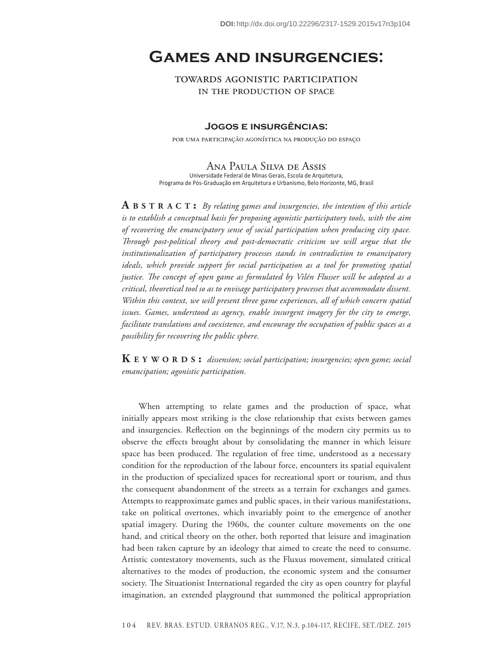# **Games and insurgencies:**

towards agonistic participation in the production of space

### **Jogos e insurgências:**

por uma participação agonística na produção do espaço

Ana Paula Silva de Assis Universidade Federal de Minas Gerais, Escola de Arquitetura, Programa de Pós-Graduação em Arquitetura e Urbanismo, Belo Horizonte, MG, Brasil

**A b s t r <sup>a</sup> c t :** *By relating games and insurgencies, the intention of this article is to establish a conceptual basis for proposing agonistic participatory tools, with the aim of recovering the emancipatory sense of social participation when producing city space. Through post-political theory and post-democratic criticism we will argue that the institutionalization of participatory processes stands in contradiction to emancipatory ideals, which provide support for social participation as a tool for promoting spatial justice. The concept of open game as formulated by Vilén Flusser will be adopted as a critical, theoretical tool so as to envisage participatory processes that accommodate dissent. Within this context, we will present three game experiences, all of which concern spatial issues. Games, understood as agency, enable insurgent imagery for the city to emerge, facilitate translations and coexistence, and encourage the occupation of public spaces as a possibility for recovering the public sphere.*

**K e Y W O R D S :** *dissension; social participation; insurgencies; open game; social emancipation; agonistic participation.*

When attempting to relate games and the production of space, what initially appears most striking is the close relationship that exists between games and insurgencies. Reflection on the beginnings of the modern city permits us to observe the effects brought about by consolidating the manner in which leisure space has been produced. The regulation of free time, understood as a necessary condition for the reproduction of the labour force, encounters its spatial equivalent in the production of specialized spaces for recreational sport or tourism, and thus the consequent abandonment of the streets as a terrain for exchanges and games. Attempts to reapproximate games and public spaces, in their various manifestations, take on political overtones, which invariably point to the emergence of another spatial imagery. During the 1960s, the counter culture movements on the one hand, and critical theory on the other, both reported that leisure and imagination had been taken capture by an ideology that aimed to create the need to consume. Artistic contestatory movements, such as the Fluxus movement, simulated critical alternatives to the modes of production, the economic system and the consumer society. The Situationist International regarded the city as open country for playful imagination, an extended playground that summoned the political appropriation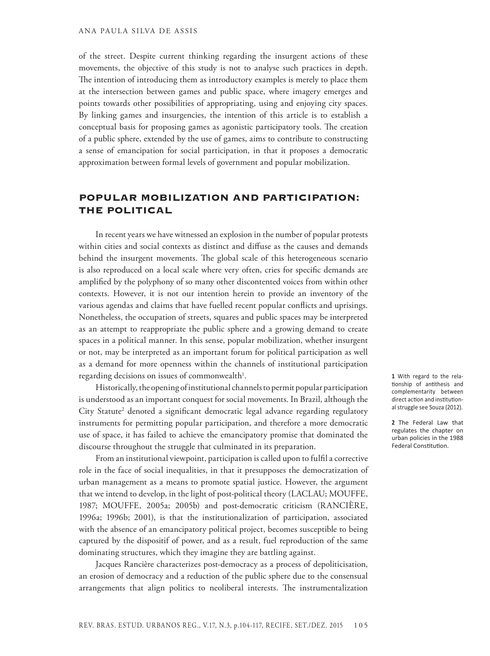of the street. Despite current thinking regarding the insurgent actions of these movements, the objective of this study is not to analyse such practices in depth. The intention of introducing them as introductory examples is merely to place them at the intersection between games and public space, where imagery emerges and points towards other possibilities of appropriating, using and enjoying city spaces. By linking games and insurgencies, the intention of this article is to establish a conceptual basis for proposing games as agonistic participatory tools. The creation of a public sphere, extended by the use of games, aims to contribute to constructing a sense of emancipation for social participation, in that it proposes a democratic approximation between formal levels of government and popular mobilization.

## Popular mobilization and participation: the political

In recent years we have witnessed an explosion in the number of popular protests within cities and social contexts as distinct and diffuse as the causes and demands behind the insurgent movements. The global scale of this heterogeneous scenario is also reproduced on a local scale where very often, cries for specific demands are amplified by the polyphony of so many other discontented voices from within other contexts. However, it is not our intention herein to provide an inventory of the various agendas and claims that have fuelled recent popular conflicts and uprisings. Nonetheless, the occupation of streets, squares and public spaces may be interpreted as an attempt to reappropriate the public sphere and a growing demand to create spaces in a political manner. In this sense, popular mobilization, whether insurgent or not, may be interpreted as an important forum for political participation as well as a demand for more openness within the channels of institutional participation regarding decisions on issues of commonwealth<sup>1</sup>.

Historically, the opening of institutional channels to permit popular participation is understood as an important conquest for social movements. In Brazil, although the City Statute<sup>2</sup> denoted a significant democratic legal advance regarding regulatory instruments for permitting popular participation, and therefore a more democratic use of space, it has failed to achieve the emancipatory promise that dominated the discourse throughout the struggle that culminated in its preparation.

From an institutional viewpoint, participation is called upon to fulfil a corrective role in the face of social inequalities, in that it presupposes the democratization of urban management as a means to promote spatial justice. However, the argument that we intend to develop, in the light of post-political theory (LACLAU; MOUFFE, 1987; MOUFFE, 2005a; 2005b) and post-democratic criticism (RANCIÈRE, 1996a; 1996b; 2001), is that the institutionalization of participation, associated with the absence of an emancipatory political project, becomes susceptible to being captured by the dispositif of power, and as a result, fuel reproduction of the same dominating structures, which they imagine they are battling against.

Jacques Rancière characterizes post-democracy as a process of depoliticisation, an erosion of democracy and a reduction of the public sphere due to the consensual arrangements that align politics to neoliberal interests. The instrumentalization **1** With regard to the relationship of antithesis and complementarity between direct action and institutional struggle see Souza (2012).

**2** The Federal Law that regulates the chapter on urban policies in the 1988 Federal Constitution.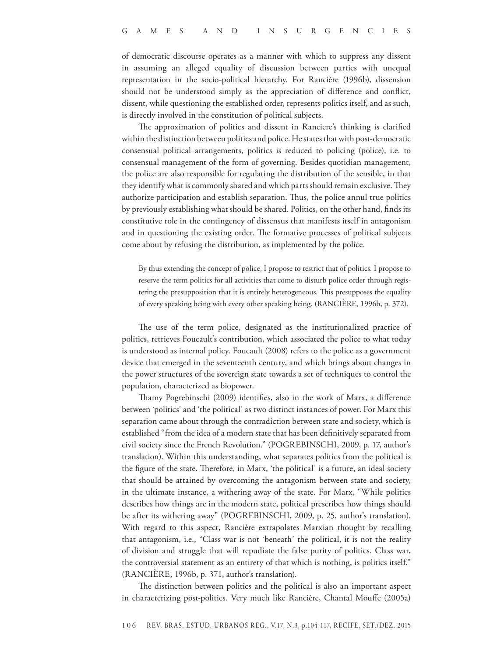of democratic discourse operates as a manner with which to suppress any dissent in assuming an alleged equality of discussion between parties with unequal representation in the socio-political hierarchy. For Rancière (1996b), dissension should not be understood simply as the appreciation of difference and conflict, dissent, while questioning the established order, represents politics itself, and as such, is directly involved in the constitution of political subjects.

The approximation of politics and dissent in Ranciere's thinking is clarified within the distinction between politics and police. He states that with post-democratic consensual political arrangements, politics is reduced to policing (police), i.e. to consensual management of the form of governing. Besides quotidian management, the police are also responsible for regulating the distribution of the sensible, in that they identify what is commonly shared and which parts should remain exclusive. They authorize participation and establish separation. Thus, the police annul true politics by previously establishing what should be shared. Politics, on the other hand, finds its constitutive role in the contingency of dissensus that manifests itself in antagonism and in questioning the existing order. The formative processes of political subjects come about by refusing the distribution, as implemented by the police.

By thus extending the concept of police, I propose to restrict that of politics. I propose to reserve the term politics for all activities that come to disturb police order through registering the presupposition that it is entirely heterogeneous. This presupposes the equality of every speaking being with every other speaking being. (RANCIÈRE, 1996b, p. 372).

The use of the term police, designated as the institutionalized practice of politics, retrieves Foucault's contribution, which associated the police to what today is understood as internal policy. Foucault (2008) refers to the police as a government device that emerged in the seventeenth century, and which brings about changes in the power structures of the sovereign state towards a set of techniques to control the population, characterized as biopower.

Thamy Pogrebinschi (2009) identifies, also in the work of Marx, a difference between 'politics' and 'the political' as two distinct instances of power. For Marx this separation came about through the contradiction between state and society, which is established "from the idea of a modern state that has been definitively separated from civil society since the French Revolution." (POGREBINSCHI, 2009, p. 17, author's translation). Within this understanding, what separates politics from the political is the figure of the state. Therefore, in Marx, 'the political' is a future, an ideal society that should be attained by overcoming the antagonism between state and society, in the ultimate instance, a withering away of the state. For Marx, "While politics describes how things are in the modern state, political prescribes how things should be after its withering away" (POGREBINSCHI, 2009, p. 25, author's translation). With regard to this aspect, Rancière extrapolates Marxian thought by recalling that antagonism, i.e., "Class war is not 'beneath' the political, it is not the reality of division and struggle that will repudiate the false purity of politics. Class war, the controversial statement as an entirety of that which is nothing, is politics itself." (RANCIÈRE, 1996b, p. 371, author's translation).

The distinction between politics and the political is also an important aspect in characterizing post-politics. Very much like Rancière, Chantal Mouffe (2005a)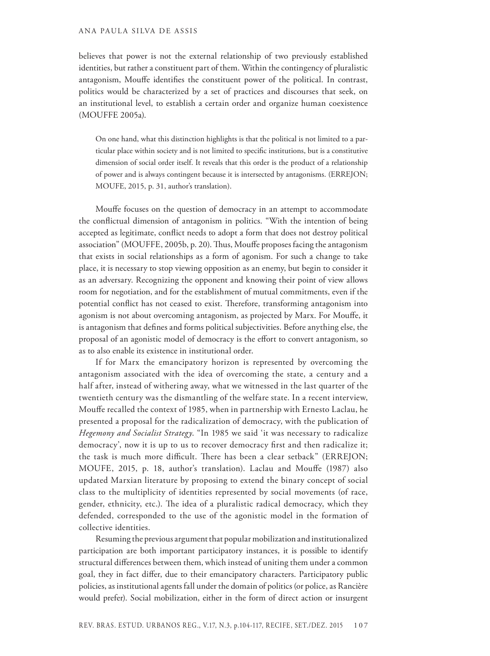#### ANA PAULA SILVA DE ASSIS

believes that power is not the external relationship of two previously established identities, but rather a constituent part of them. Within the contingency of pluralistic antagonism, Mouffe identifies the constituent power of the political. In contrast, politics would be characterized by a set of practices and discourses that seek, on an institutional level, to establish a certain order and organize human coexistence (MOUFFE 2005a).

On one hand, what this distinction highlights is that the political is not limited to a particular place within society and is not limited to specific institutions, but is a constitutive dimension of social order itself. It reveals that this order is the product of a relationship of power and is always contingent because it is intersected by antagonisms. (ERREJON; MOUFE, 2015, p. 31, author's translation).

Mouffe focuses on the question of democracy in an attempt to accommodate the conflictual dimension of antagonism in politics. "With the intention of being accepted as legitimate, conflict needs to adopt a form that does not destroy political association" (MOUFFE, 2005b, p. 20). Thus, Mouffe proposes facing the antagonism that exists in social relationships as a form of agonism. For such a change to take place, it is necessary to stop viewing opposition as an enemy, but begin to consider it as an adversary. Recognizing the opponent and knowing their point of view allows room for negotiation, and for the establishment of mutual commitments, even if the potential conflict has not ceased to exist. Therefore, transforming antagonism into agonism is not about overcoming antagonism, as projected by Marx. For Mouffe, it is antagonism that defines and forms political subjectivities. Before anything else, the proposal of an agonistic model of democracy is the effort to convert antagonism, so as to also enable its existence in institutional order.

If for Marx the emancipatory horizon is represented by overcoming the antagonism associated with the idea of overcoming the state, a century and a half after, instead of withering away, what we witnessed in the last quarter of the twentieth century was the dismantling of the welfare state. In a recent interview, Mouffe recalled the context of 1985, when in partnership with Ernesto Laclau, he presented a proposal for the radicalization of democracy, with the publication of *Hegemony and Socialist Strategy*. "In 1985 we said 'it was necessary to radicalize democracy', now it is up to us to recover democracy first and then radicalize it; the task is much more difficult. There has been a clear setback" (ERREJON; MOUFE, 2015, p. 18, author's translation). Laclau and Mouffe (1987) also updated Marxian literature by proposing to extend the binary concept of social class to the multiplicity of identities represented by social movements (of race, gender, ethnicity, etc.). The idea of a pluralistic radical democracy, which they defended, corresponded to the use of the agonistic model in the formation of collective identities.

Resuming the previous argument that popular mobilization and institutionalized participation are both important participatory instances, it is possible to identify structural differences between them, which instead of uniting them under a common goal, they in fact differ, due to their emancipatory characters. Participatory public policies, as institutional agents fall under the domain of politics (or police, as Rancière would prefer). Social mobilization, either in the form of direct action or insurgent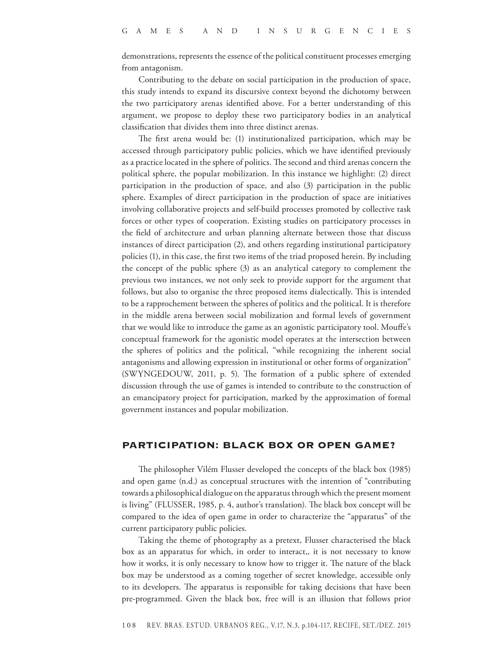demonstrations, represents the essence of the political constituent processes emerging from antagonism.

Contributing to the debate on social participation in the production of space, this study intends to expand its discursive context beyond the dichotomy between the two participatory arenas identified above. For a better understanding of this argument, we propose to deploy these two participatory bodies in an analytical classification that divides them into three distinct arenas.

The first arena would be: (1) institutionalized participation, which may be accessed through participatory public policies, which we have identified previously as a practice located in the sphere of politics. The second and third arenas concern the political sphere, the popular mobilization. In this instance we highlight: (2) direct participation in the production of space, and also (3) participation in the public sphere. Examples of direct participation in the production of space are initiatives involving collaborative projects and self-build processes promoted by collective task forces or other types of cooperation. Existing studies on participatory processes in the field of architecture and urban planning alternate between those that discuss instances of direct participation (2), and others regarding institutional participatory policies (1), in this case, the first two items of the triad proposed herein. By including the concept of the public sphere (3) as an analytical category to complement the previous two instances, we not only seek to provide support for the argument that follows, but also to organise the three proposed items dialectically. This is intended to be a rapprochement between the spheres of politics and the political. It is therefore in the middle arena between social mobilization and formal levels of government that we would like to introduce the game as an agonistic participatory tool. Mouffe's conceptual framework for the agonistic model operates at the intersection between the spheres of politics and the political, "while recognizing the inherent social antagonisms and allowing expression in institutional or other forms of organization" (SWYNGEDOUW, 2011, p. 5). The formation of a public sphere of extended discussion through the use of games is intended to contribute to the construction of an emancipatory project for participation, marked by the approximation of formal government instances and popular mobilization.

#### Participation: black box or open game?

The philosopher Vilém Flusser developed the concepts of the black box (1985) and open game (n.d.) as conceptual structures with the intention of "contributing towards a philosophical dialogue on the apparatus through which the present moment is living" (FLUSSER, 1985, p. 4, author's translation). The black box concept will be compared to the idea of open game in order to characterize the "apparatus" of the current participatory public policies.

Taking the theme of photography as a pretext, Flusser characterised the black box as an apparatus for which, in order to interact,, it is not necessary to know how it works, it is only necessary to know how to trigger it. The nature of the black box may be understood as a coming together of secret knowledge, accessible only to its developers. The apparatus is responsible for taking decisions that have been pre-programmed. Given the black box, free will is an illusion that follows prior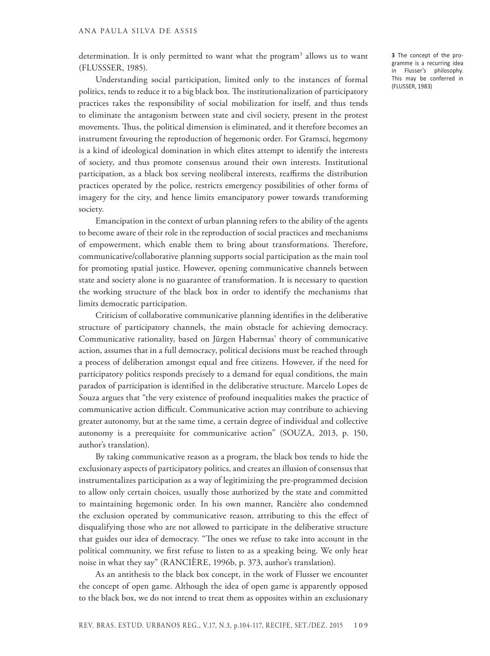determination. It is only permitted to want what the program<sup>3</sup> allows us to want (FLUSSSER, 1985).

Understanding social participation, limited only to the instances of formal politics, tends to reduce it to a big black box. The institutionalization of participatory practices takes the responsibility of social mobilization for itself, and thus tends to eliminate the antagonism between state and civil society, present in the protest movements. Thus, the political dimension is eliminated, and it therefore becomes an instrument favouring the reproduction of hegemonic order. For Gramsci, hegemony is a kind of ideological domination in which elites attempt to identify the interests of society, and thus promote consensus around their own interests. Institutional participation, as a black box serving neoliberal interests, reaffirms the distribution practices operated by the police, restricts emergency possibilities of other forms of imagery for the city, and hence limits emancipatory power towards transforming society.

Emancipation in the context of urban planning refers to the ability of the agents to become aware of their role in the reproduction of social practices and mechanisms of empowerment, which enable them to bring about transformations. Therefore, communicative/collaborative planning supports social participation as the main tool for promoting spatial justice. However, opening communicative channels between state and society alone is no guarantee of transformation. It is necessary to question the working structure of the black box in order to identify the mechanisms that limits democratic participation.

Criticism of collaborative communicative planning identifies in the deliberative structure of participatory channels, the main obstacle for achieving democracy. Communicative rationality, based on Jürgen Habermas' theory of communicative action, assumes that in a full democracy, political decisions must be reached through a process of deliberation amongst equal and free citizens. However, if the need for participatory politics responds precisely to a demand for equal conditions, the main paradox of participation is identified in the deliberative structure. Marcelo Lopes de Souza argues that "the very existence of profound inequalities makes the practice of communicative action difficult. Communicative action may contribute to achieving greater autonomy, but at the same time, a certain degree of individual and collective autonomy is a prerequisite for communicative action" (SOUZA, 2013, p. 150, author's translation).

By taking communicative reason as a program, the black box tends to hide the exclusionary aspects of participatory politics, and creates an illusion of consensus that instrumentalizes participation as a way of legitimizing the pre-programmed decision to allow only certain choices, usually those authorized by the state and committed to maintaining hegemonic order. In his own manner, Rancière also condemned the exclusion operated by communicative reason, attributing to this the effect of disqualifying those who are not allowed to participate in the deliberative structure that guides our idea of democracy. "The ones we refuse to take into account in the political community, we first refuse to listen to as a speaking being. We only hear noise in what they say" (RANCIÈRE, 1996b, p. 373, author's translation).

As an antithesis to the black box concept, in the work of Flusser we encounter the concept of open game. Although the idea of open game is apparently opposed to the black box, we do not intend to treat them as opposites within an exclusionary **3** The concept of the programme is a recurring idea in Flusser's philosophy. This may be conferred in (FLUSSER, 1983)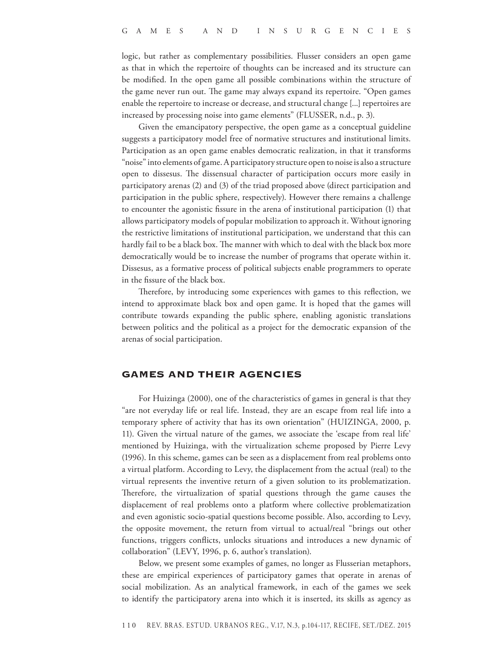logic, but rather as complementary possibilities. Flusser considers an open game as that in which the repertoire of thoughts can be increased and its structure can be modified. In the open game all possible combinations within the structure of the game never run out. The game may always expand its repertoire. "Open games enable the repertoire to increase or decrease, and structural change [...] repertoires are increased by processing noise into game elements" (FLUSSER, n.d., p. 3).

Given the emancipatory perspective, the open game as a conceptual guideline suggests a participatory model free of normative structures and institutional limits. Participation as an open game enables democratic realization, in that it transforms "noise" into elements of game. A participatory structure open to noise is also a structure open to dissesus. The dissensual character of participation occurs more easily in participatory arenas (2) and (3) of the triad proposed above (direct participation and participation in the public sphere, respectively). However there remains a challenge to encounter the agonistic fissure in the arena of institutional participation (1) that allows participatory models of popular mobilization to approach it. Without ignoring the restrictive limitations of institutional participation, we understand that this can hardly fail to be a black box. The manner with which to deal with the black box more democratically would be to increase the number of programs that operate within it. Dissesus, as a formative process of political subjects enable programmers to operate in the fissure of the black box.

Therefore, by introducing some experiences with games to this reflection, we intend to approximate black box and open game. It is hoped that the games will contribute towards expanding the public sphere, enabling agonistic translations between politics and the political as a project for the democratic expansion of the arenas of social participation.

## Games and their agencies

For Huizinga (2000), one of the characteristics of games in general is that they "are not everyday life or real life. Instead, they are an escape from real life into a temporary sphere of activity that has its own orientation" (HUIZINGA, 2000, p. 11). Given the virtual nature of the games, we associate the 'escape from real life' mentioned by Huizinga, with the virtualization scheme proposed by Pierre Levy (1996). In this scheme, games can be seen as a displacement from real problems onto a virtual platform. According to Levy, the displacement from the actual (real) to the virtual represents the inventive return of a given solution to its problematization. Therefore, the virtualization of spatial questions through the game causes the displacement of real problems onto a platform where collective problematization and even agonistic socio-spatial questions become possible. Also, according to Levy, the opposite movement, the return from virtual to actual/real "brings out other functions, triggers conflicts, unlocks situations and introduces a new dynamic of collaboration" (LEVY, 1996, p. 6, author's translation).

Below, we present some examples of games, no longer as Flusserian metaphors, these are empirical experiences of participatory games that operate in arenas of social mobilization. As an analytical framework, in each of the games we seek to identify the participatory arena into which it is inserted, its skills as agency as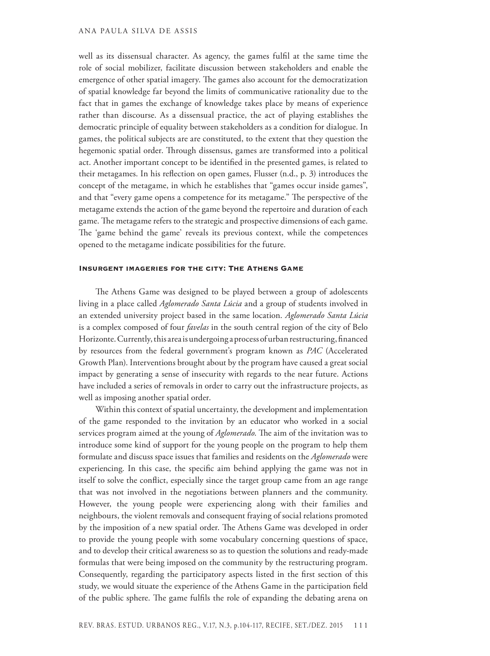#### ANA PAULA SILVA DE ASSIS

well as its dissensual character. As agency, the games fulfil at the same time the role of social mobilizer, facilitate discussion between stakeholders and enable the emergence of other spatial imagery. The games also account for the democratization of spatial knowledge far beyond the limits of communicative rationality due to the fact that in games the exchange of knowledge takes place by means of experience rather than discourse. As a dissensual practice, the act of playing establishes the democratic principle of equality between stakeholders as a condition for dialogue. In games, the political subjects are are constituted, to the extent that they question the hegemonic spatial order. Through dissensus, games are transformed into a political act. Another important concept to be identified in the presented games, is related to their metagames. In his reflection on open games, Flusser (n.d., p. 3) introduces the concept of the metagame, in which he establishes that "games occur inside games", and that "every game opens a competence for its metagame." The perspective of the metagame extends the action of the game beyond the repertoire and duration of each game. The metagame refers to the strategic and prospective dimensions of each game. The 'game behind the game' reveals its previous context, while the competences opened to the metagame indicate possibilities for the future.

#### Insurgent imageries for the city: The Athens Game

The Athens Game was designed to be played between a group of adolescents living in a place called *Aglomerado Santa Lúcia* and a group of students involved in an extended university project based in the same location. *Aglomerado Santa Lúcia*  is a complex composed of four *favelas* in the south central region of the city of Belo Horizonte. Currently, this area is undergoing a process of urban restructuring, financed by resources from the federal government's program known as *PAC* (Accelerated Growth Plan). Interventions brought about by the program have caused a great social impact by generating a sense of insecurity with regards to the near future. Actions have included a series of removals in order to carry out the infrastructure projects, as well as imposing another spatial order.

Within this context of spatial uncertainty, the development and implementation of the game responded to the invitation by an educator who worked in a social services program aimed at the young of *Aglomerado*. The aim of the invitation was to introduce some kind of support for the young people on the program to help them formulate and discuss space issues that families and residents on the *Aglomerado* were experiencing. In this case, the specific aim behind applying the game was not in itself to solve the conflict, especially since the target group came from an age range that was not involved in the negotiations between planners and the community. However, the young people were experiencing along with their families and neighbours, the violent removals and consequent fraying of social relations promoted by the imposition of a new spatial order. The Athens Game was developed in order to provide the young people with some vocabulary concerning questions of space, and to develop their critical awareness so as to question the solutions and ready-made formulas that were being imposed on the community by the restructuring program. Consequently, regarding the participatory aspects listed in the first section of this study, we would situate the experience of the Athens Game in the participation field of the public sphere. The game fulfils the role of expanding the debating arena on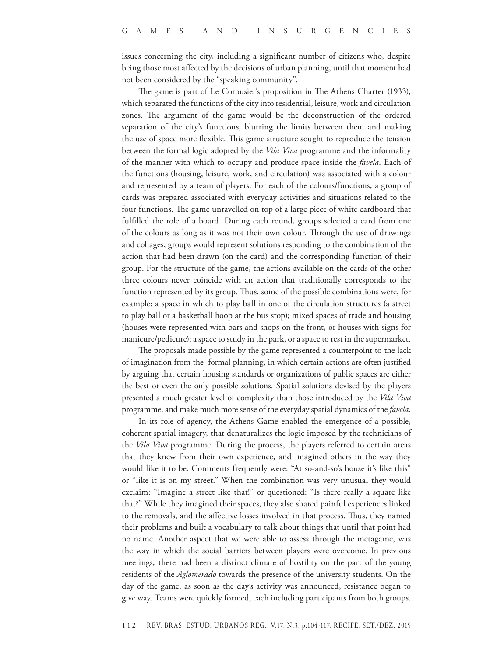issues concerning the city, including a significant number of citizens who, despite being those most affected by the decisions of urban planning, until that moment had not been considered by the "speaking community".

The game is part of Le Corbusier's proposition in The Athens Charter (1933), which separated the functions of the city into residential, leisure, work and circulation zones. The argument of the game would be the deconstruction of the ordered separation of the city's functions, blurring the limits between them and making the use of space more flexible. This game structure sought to reproduce the tension between the formal logic adopted by the *Vila Viva* programme and the informality of the manner with which to occupy and produce space inside the *favela*. Each of the functions (housing, leisure, work, and circulation) was associated with a colour and represented by a team of players. For each of the colours/functions, a group of cards was prepared associated with everyday activities and situations related to the four functions. The game unravelled on top of a large piece of white cardboard that fulfilled the role of a board. During each round, groups selected a card from one of the colours as long as it was not their own colour. Through the use of drawings and collages, groups would represent solutions responding to the combination of the action that had been drawn (on the card) and the corresponding function of their group. For the structure of the game, the actions available on the cards of the other three colours never coincide with an action that traditionally corresponds to the function represented by its group. Thus, some of the possible combinations were, for example: a space in which to play ball in one of the circulation structures (a street to play ball or a basketball hoop at the bus stop); mixed spaces of trade and housing (houses were represented with bars and shops on the front, or houses with signs for manicure/pedicure); a space to study in the park, or a space to rest in the supermarket.

The proposals made possible by the game represented a counterpoint to the lack of imagination from the formal planning, in which certain actions are often justified by arguing that certain housing standards or organizations of public spaces are either the best or even the only possible solutions. Spatial solutions devised by the players presented a much greater level of complexity than those introduced by the *Vila Viva* programme, and make much more sense of the everyday spatial dynamics of the *favela*.

In its role of agency, the Athens Game enabled the emergence of a possible, coherent spatial imagery, that denaturalizes the logic imposed by the technicians of the *Vila Viva* programme. During the process, the players referred to certain areas that they knew from their own experience, and imagined others in the way they would like it to be. Comments frequently were: "At so-and-so's house it's like this" or "like it is on my street." When the combination was very unusual they would exclaim: "Imagine a street like that!" or questioned: "Is there really a square like that?" While they imagined their spaces, they also shared painful experiences linked to the removals, and the affective losses involved in that process. Thus, they named their problems and built a vocabulary to talk about things that until that point had no name. Another aspect that we were able to assess through the metagame, was the way in which the social barriers between players were overcome. In previous meetings, there had been a distinct climate of hostility on the part of the young residents of the *Aglomerado* towards the presence of the university students. On the day of the game, as soon as the day's activity was announced, resistance began to give way. Teams were quickly formed, each including participants from both groups.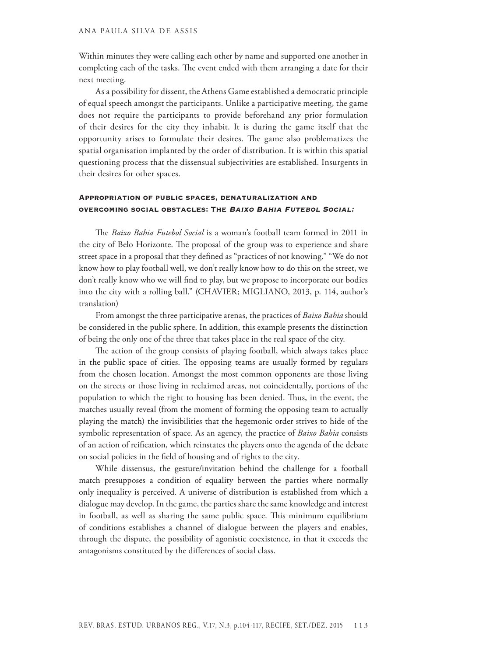Within minutes they were calling each other by name and supported one another in completing each of the tasks. The event ended with them arranging a date for their next meeting.

As a possibility for dissent, the Athens Game established a democratic principle of equal speech amongst the participants. Unlike a participative meeting, the game does not require the participants to provide beforehand any prior formulation of their desires for the city they inhabit. It is during the game itself that the opportunity arises to formulate their desires. The game also problematizes the spatial organisation implanted by the order of distribution. It is within this spatial questioning process that the dissensual subjectivities are established. Insurgents in their desires for other spaces.

## Appropriation of public spaces, denaturalization and overcoming social obstacles: The Baixo Bahia Futebol Social:

The *Baixo Bahia Futebol Social* is a woman's football team formed in 2011 in the city of Belo Horizonte. The proposal of the group was to experience and share street space in a proposal that they defined as "practices of not knowing." "We do not know how to play football well, we don't really know how to do this on the street, we don't really know who we will find to play, but we propose to incorporate our bodies into the city with a rolling ball." (CHAVIER; MIGLIANO, 2013, p. 114, author's translation)

From amongst the three participative arenas, the practices of *Baixo Bahia* should be considered in the public sphere. In addition, this example presents the distinction of being the only one of the three that takes place in the real space of the city.

The action of the group consists of playing football, which always takes place in the public space of cities. The opposing teams are usually formed by regulars from the chosen location. Amongst the most common opponents are those living on the streets or those living in reclaimed areas, not coincidentally, portions of the population to which the right to housing has been denied. Thus, in the event, the matches usually reveal (from the moment of forming the opposing team to actually playing the match) the invisibilities that the hegemonic order strives to hide of the symbolic representation of space. As an agency, the practice of *Baixo Bahia* consists of an action of reification, which reinstates the players onto the agenda of the debate on social policies in the field of housing and of rights to the city.

While dissensus, the gesture/invitation behind the challenge for a football match presupposes a condition of equality between the parties where normally only inequality is perceived. A universe of distribution is established from which a dialogue may develop. In the game, the parties share the same knowledge and interest in football, as well as sharing the same public space. This minimum equilibrium of conditions establishes a channel of dialogue between the players and enables, through the dispute, the possibility of agonistic coexistence, in that it exceeds the antagonisms constituted by the differences of social class.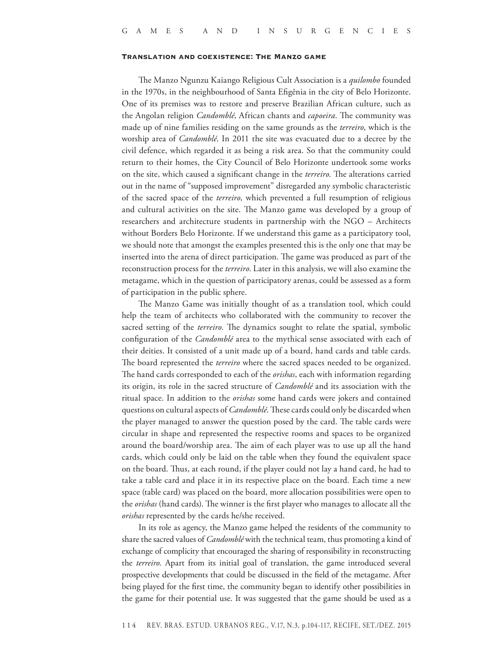#### Translation and coexistence: The Manzo game

The Manzo Ngunzu Kaiango Religious Cult Association is a *quilombo* founded in the 1970s, in the neighbourhood of Santa Efigênia in the city of Belo Horizonte. One of its premises was to restore and preserve Brazilian African culture, such as the Angolan religion *Candomblé*, African chants and *capoeira*. The community was made up of nine families residing on the same grounds as the *terreiro*, which is the worship area of *Candomblé*. In 2011 the site was evacuated due to a decree by the civil defence, which regarded it as being a risk area. So that the community could return to their homes, the City Council of Belo Horizonte undertook some works on the site, which caused a significant change in the *terreiro*. The alterations carried out in the name of "supposed improvement" disregarded any symbolic characteristic of the sacred space of the *terreiro*, which prevented a full resumption of religious and cultural activities on the site. The Manzo game was developed by a group of researchers and architecture students in partnership with the NGO – Architects without Borders Belo Horizonte. If we understand this game as a participatory tool, we should note that amongst the examples presented this is the only one that may be inserted into the arena of direct participation. The game was produced as part of the reconstruction process for the *terreiro*. Later in this analysis, we will also examine the metagame, which in the question of participatory arenas, could be assessed as a form of participation in the public sphere.

The Manzo Game was initially thought of as a translation tool, which could help the team of architects who collaborated with the community to recover the sacred setting of the *terreiro*. The dynamics sought to relate the spatial, symbolic configuration of the *Candomblé* area to the mythical sense associated with each of their deities. It consisted of a unit made up of a board, hand cards and table cards. The board represented the *terreiro* where the sacred spaces needed to be organized. The hand cards corresponded to each of the *orishas*, each with information regarding its origin, its role in the sacred structure of *Candomblé* and its association with the ritual space. In addition to the *orishas* some hand cards were jokers and contained questions on cultural aspects of *Candomblé*. These cards could only be discarded when the player managed to answer the question posed by the card. The table cards were circular in shape and represented the respective rooms and spaces to be organized around the board/worship area. The aim of each player was to use up all the hand cards, which could only be laid on the table when they found the equivalent space on the board. Thus, at each round, if the player could not lay a hand card, he had to take a table card and place it in its respective place on the board. Each time a new space (table card) was placed on the board, more allocation possibilities were open to the *orishas* (hand cards). The winner is the first player who manages to allocate all the *orishas* represented by the cards he/she received.

In its role as agency, the Manzo game helped the residents of the community to share the sacred values of *Candomblé* with the technical team, thus promoting a kind of exchange of complicity that encouraged the sharing of responsibility in reconstructing the *terreiro*. Apart from its initial goal of translation, the game introduced several prospective developments that could be discussed in the field of the metagame. After being played for the first time, the community began to identify other possibilities in the game for their potential use. It was suggested that the game should be used as a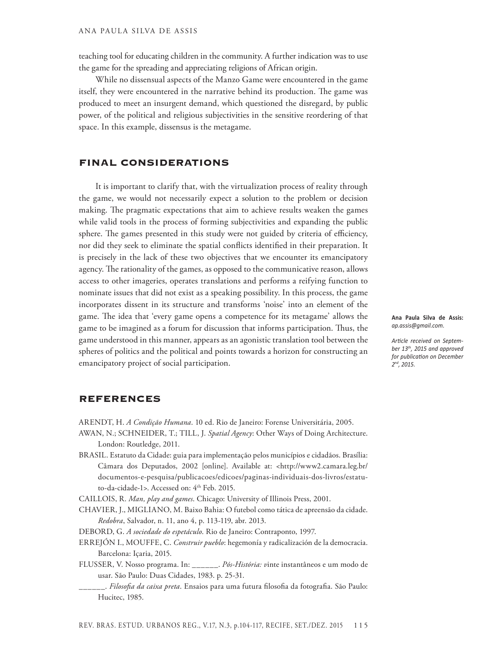teaching tool for educating children in the community. A further indication was to use the game for the spreading and appreciating religions of African origin.

While no dissensual aspects of the Manzo Game were encountered in the game itself, they were encountered in the narrative behind its production. The game was produced to meet an insurgent demand, which questioned the disregard, by public power, of the political and religious subjectivities in the sensitive reordering of that space. In this example, dissensus is the metagame.

## Final considerations

It is important to clarify that, with the virtualization process of reality through the game, we would not necessarily expect a solution to the problem or decision making. The pragmatic expectations that aim to achieve results weaken the games while valid tools in the process of forming subjectivities and expanding the public sphere. The games presented in this study were not guided by criteria of efficiency, nor did they seek to eliminate the spatial conflicts identified in their preparation. It is precisely in the lack of these two objectives that we encounter its emancipatory agency. The rationality of the games, as opposed to the communicative reason, allows access to other imageries, operates translations and performs a reifying function to nominate issues that did not exist as a speaking possibility. In this process, the game incorporates dissent in its structure and transforms 'noise' into an element of the game. The idea that 'every game opens a competence for its metagame' allows the game to be imagined as a forum for discussion that informs participation. Thus, the game understood in this manner, appears as an agonistic translation tool between the spheres of politics and the political and points towards a horizon for constructing an emancipatory project of social participation.

**Ana Paula Silva de Assis:**  *ap.assis@gmail.com.*

*Article received on September 13th, 2015 and approved for publication on December 2nd, 2015.*

## **REFERENCES**

ARENDT, H. *A Condição Humana*. 10 ed. Rio de Janeiro: Forense Universitária, 2005.

- AWAN, N.; SCHNEIDER, T.; TILL, J. *Spatial Agency*: Other Ways of Doing Architecture. London: Routledge, 2011.
- BRASIL. Estatuto da Cidade: guia para implementação pelos municípios e cidadãos. Brasília: Câmara dos Deputados, 2002 [online]. Available at: <http://www2.camara.leg.br/ documentos-e-pesquisa/publicacoes/edicoes/paginas-individuais-dos-livros/estatuto-da-cidade-1>. Accessed on: 4<sup>th</sup> Feb. 2015.

CAILLOIS, R. *Man, play and games*. Chicago: University of Illinois Press, 2001.

Chavier, J., Migliano, M. Baixo Bahia: O futebol como tática de apreensão da cidade. *Redobra*, Salvador, n. 11, ano 4, p. 113-119, abr. 2013.

DEBORD, G. *A sociedade do espetáculo*. Rio de Janeiro: Contraponto, 1997.

- ERREJÓN I., MOUFFE, C. *Construir pueblo*: hegemonía y radicalización de la democracia. Barcelona: Içaria, 2015.
- Flusser, V. Nosso programa. In: \_\_\_\_\_\_. *Pós-História: v*inte instantâneos e um modo de usar. São Paulo: Duas Cidades, 1983. p. 25-31.
- \_\_\_\_\_\_. *Filosofia da caixa preta*. Ensaios para uma futura filosofia da fotografia. São Paulo: Hucitec, 1985.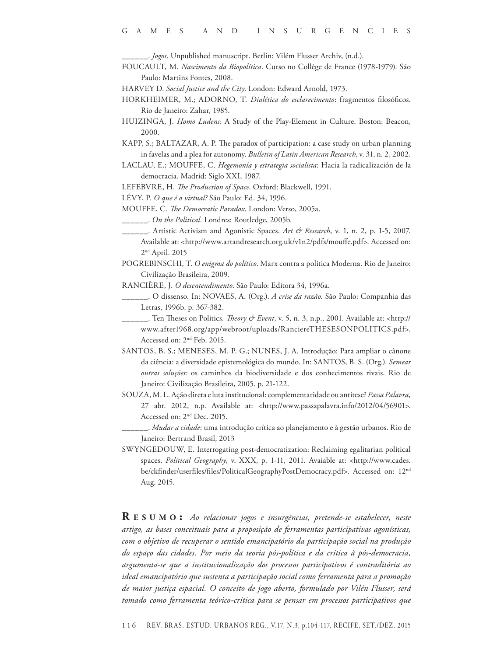\_\_\_\_\_\_. *Jogos*. Unpublished manuscript. Berlin: Vilém Flusser Archiv, (n.d.).

- Foucault, M. *Nascimento da Biopolítica*. Curso no Collège de France (1978-1979). São Paulo: Martins Fontes, 2008.
- HARVEY D. *Social Justice and the City*. London: Edward Arnold, 1973.
- HORKHEIMER, M.; ADORNO, T. *Dialética do esclarecimento*: fragmentos filosóficos. Rio de Janeiro: Zahar, 1985.
- Huizinga, J. *Homo Ludens*: A Study of the Play-Element in Culture. Boston: Beacon, 2000.
- KAPP, S.; BALTAZAR, A. P. The paradox of participation: a case study on urban planning in favelas and a plea for autonomy. *Bulletin of Latin American Research*, v. 31, n. 2, 2002.
- LACLAU, E.; MOUFFE, C. *Hegemonía y estrategia socialista*: Hacia la radicalización de la democracia. Madrid: Siglo XXI, 1987.
- LEFEBVRE, H. *The Production of Space*. Oxford: Blackwell, 1991.
- Lévy, P. *O que é o virtual?* São Paulo: Ed. 34, 1996.
- Mouffe, C. *The Democratic Paradox*. London: Verso, 2005a.
- \_\_\_\_\_\_. *On the Political.* Londres: Routledge, 2005b.
- \_\_\_\_\_\_. Artistic Activism and Agonistic Spaces. *Art & Research*, v. 1, n. 2, p. 1-5, 2007. Available at: <http://www.artandresearch.org.uk/v1n2/pdfs/mouffe.pdf>. Accessed on: 2nd April. 2015
- POGREBINSCHI, T. *O enigma do político*. Marx contra a política Moderna. Rio de Janeiro: Civilização Brasileira, 2009.
- Rancière, J. *O desentendimento*. São Paulo: Editora 34, 1996a.
	- \_\_\_\_\_\_. O dissenso. In: NOVAES, A. (Org.). *A crise da razão*. São Paulo: Companhia das Letras, 1996b. p. 367-382.
- \_\_\_\_\_\_. Ten Theses on Politics. *Theory & Event*, v. 5, n. 3, n.p., 2001. Available at: <http:// www.after1968.org/app/webroot/uploads/RanciereTHESESONPOLITICS.pdf>. Accessed on: 2nd Feb. 2015.
- SANTOS, B. S.; MENESES, M. P. G.; NUNES, J. A. Introdução: Para ampliar o cânone da ciência: a diversidade epistemológica do mundo. In: SANTOS, B. S. (Org.). *Semear outras soluções:* os caminhos da biodiversidade e dos conhecimentos rivais. Rio de Janeiro: Civilização Brasileira, 2005. p. 21-122.
- Souza, M. L. Ação direta e luta institucional: complementaridade ou antítese? *Passa Palavra,*  27 abr. 2012, n.p. Available at: <http://www.passapalavra.info/2012/04/56901>. Accessed on: 2nd Dec. 2015.
	- \_\_\_\_\_\_. *Mudar a cidade*: uma introdução crítica ao planejamento e à gestão urbanos. Rio de Janeiro: Bertrand Brasil, 2013
- Swyngedouw, E. Interrogating post-democratization: Reclaiming egalitarian political spaces. *Political Geography*, v. XXX, p. 1-11, 2011. Avaiable at: <http://www.cades. be/ckfinder/userfiles/files/PoliticalGeographyPostDemocracy.pdf>. Accessed on: 12nd Aug. 2015.

**R e s u m o :** *Ao relacionar jogos e insurgências, pretende-se estabelecer, neste artigo, as bases conceituais para a proposição de ferramentas participativas agonísticas, com o objetivo de recuperar o sentido emancipatório da participação social na produção do espaço das cidades. Por meio da teoria pós-política e da crítica à pós-democracia, argumenta-se que a institucionalização dos processos participativos é contraditória ao ideal emancipatório que sustenta a participação social como ferramenta para a promoção de maior justiça espacial. O conceito de jogo aberto, formulado por Vilén Flusser, será tomado como ferramenta teórico-crítica para se pensar em processos participativos que*